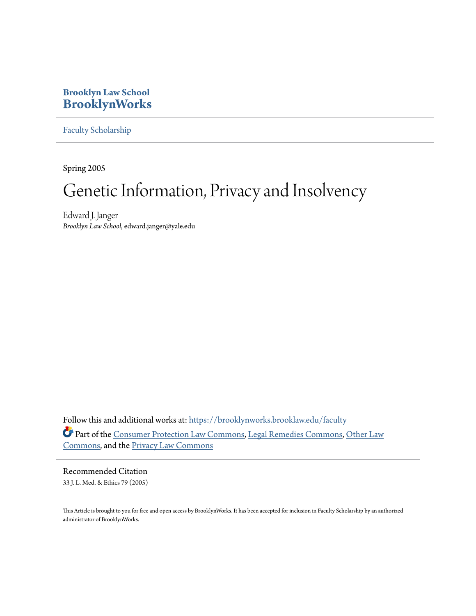### **Brooklyn Law School [BrooklynWorks](https://brooklynworks.brooklaw.edu?utm_source=brooklynworks.brooklaw.edu%2Ffaculty%2F652&utm_medium=PDF&utm_campaign=PDFCoverPages)**

[Faculty Scholarship](https://brooklynworks.brooklaw.edu/faculty?utm_source=brooklynworks.brooklaw.edu%2Ffaculty%2F652&utm_medium=PDF&utm_campaign=PDFCoverPages)

Spring 2005

## Genetic Information, Privacy and Insolvency

Edward J. Janger *Brooklyn Law School*, edward.janger@yale.edu

Follow this and additional works at: [https://brooklynworks.brooklaw.edu/faculty](https://brooklynworks.brooklaw.edu/faculty?utm_source=brooklynworks.brooklaw.edu%2Ffaculty%2F652&utm_medium=PDF&utm_campaign=PDFCoverPages) Part of the [Consumer Protection Law Commons](http://network.bepress.com/hgg/discipline/838?utm_source=brooklynworks.brooklaw.edu%2Ffaculty%2F652&utm_medium=PDF&utm_campaign=PDFCoverPages), [Legal Remedies Commons](http://network.bepress.com/hgg/discipline/618?utm_source=brooklynworks.brooklaw.edu%2Ffaculty%2F652&utm_medium=PDF&utm_campaign=PDFCoverPages), [Other Law](http://network.bepress.com/hgg/discipline/621?utm_source=brooklynworks.brooklaw.edu%2Ffaculty%2F652&utm_medium=PDF&utm_campaign=PDFCoverPages) [Commons,](http://network.bepress.com/hgg/discipline/621?utm_source=brooklynworks.brooklaw.edu%2Ffaculty%2F652&utm_medium=PDF&utm_campaign=PDFCoverPages) and the [Privacy Law Commons](http://network.bepress.com/hgg/discipline/1234?utm_source=brooklynworks.brooklaw.edu%2Ffaculty%2F652&utm_medium=PDF&utm_campaign=PDFCoverPages)

Recommended Citation 33 J. L. Med. & Ethics 79 (2005)

This Article is brought to you for free and open access by BrooklynWorks. It has been accepted for inclusion in Faculty Scholarship by an authorized administrator of BrooklynWorks.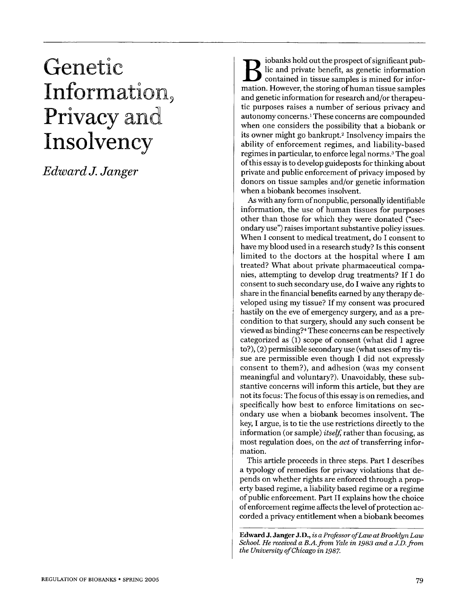# **Genetic** Information, Privacy and Insolvency

*Edward J. Janger*

iobanks hold out the prospect of significant public and private benefit, as genetic information **B** contained in tissue samples is mined for information. However, the storing of human tissue samples and genetic information for research and/or therapeutic purposes raises a number of serious privacy and autonomy concerns.<sup>1</sup> These concerns are compounded when one considers the possibility that a biobank or its owner might go bankrupt.2 Insolvency impairs the ability of enforcement regimes, and liability-based regimes in particular, to enforce legal norms. 3 The goal of this essay is to develop guideposts for thinking about private and public enforcement of privacy imposed by donors on tissue samples and/or genetic information when a biobank becomes insolvent.

As with any form of nonpublic, personally identifiable information, the use of human tissues for purposes other than those for which they were donated ("secondary use") raises important substantive policy issues. When I consent to medical treatment, do I consent to have my blood used in a research study? Is this consent limited to the doctors at the hospital where I am treated? What about private pharmaceutical companies, attempting to develop drug treatments? If I do consent to such secondary use, do I waive any rights to share in the financial benefits earned by any therapy developed using my tissue? If my consent was procured hastily on the eve of emergency surgery, and as a precondition to that surgery, should any such consent be viewed as binding?4 These concerns can be respectively categorized as **(1)** scope of consent (what did I agree to?), (2) permissible secondary use (what uses of my tissue are permissible even though I did not expressly consent to them?), and adhesion (was my consent meaningful and voluntary?). Unavoidably, these substantive concerns will inform this article, but they are not its focus: The focus of this essay is on remedies, and specifically how best to enforce limitations on secondary use when a biobank becomes insolvent. The key, I argue, is to tie the use restrictions directly to the information (or sample) *itself,* rather than focusing, as most regulation does, on the *act* of transferring information.

This article proceeds in three steps. Part I describes a typology of remedies for privacy violations that depends on whether rights are enforced through a property based regime, a liability based regime or a regime of public enforcement. Part II explains how the choice of enforcement regime affects the level of protection accorded a privacy entitlement when a biobank becomes

Edward J. Janger J.D., *is a Professor of Law at Brooklyn Law School. He received a B.A.from Yale in 1983 and a J.D.from the University of Chicago in 1987.*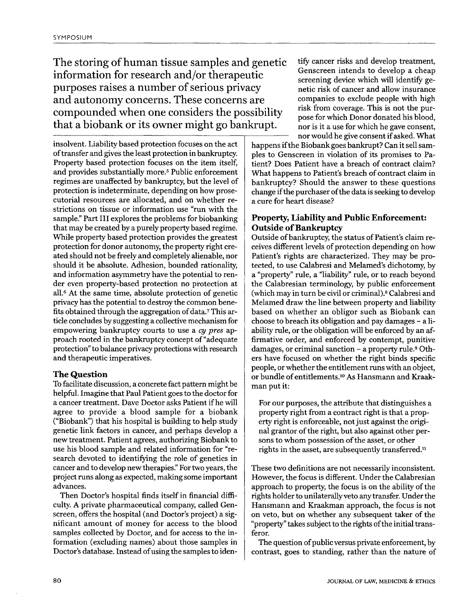The storing of human tissue samples and genetic information for research and/or therapeu purposes raises a number of serious priva and autonomy concerns. These concerns compounded when one considers the pos that a biobank or its owner might go ban

insolvent. Liability based protection focuses on the act of transfer and gives the least protection in bankruptcy. Property based protection focuses on the item itself, and provides substantially more.<sup>5</sup> Public enforcement regimes are unaffected by bankruptcy, but the level of protection is indeterminate, depending on how prosecutorial resources are allocated, and on whether restrictions on tissue or information use "run with the sample:' Part III explores the problems for biobanking that may be created by a purely property based regime. While property based protection provides the greatest protection for donor autonomy, the property right created should not be freely and completely alienable, nor should it be absolute. Adhesion, bounded rationality, and information asymmetry have the potential to render even property-based protection no protection at all.6 At the same time, absolute protection of genetic privacy has the potential to destroy the common benefits obtained through the aggregation of data.7 This article concludes by suggesting a collective mechanism for empowering bankruptcy courts to use a *cy pres* approach rooted in the bankruptcy concept of "adequate protection" to balance privacy protections with research and therapeutic imperatives.

#### The Question

To facilitate discussion, a concrete fact pattern might be helpful. Imagine that Paul Patient goes to the doctor for a cancer treatment. Dave Doctor asks Patient if he will agree to provide a blood sample for a biobank ("Biobank") that his hospital is building to help study genetic link factors in cancer, and perhaps develop a new treatment. Patient agrees, authorizing Biobank to use his blood sample and related information for "research devoted to identifying the role of genetics in cancer and to develop new therapies:' For two years, the project runs along as expected, making some important advances.

Then Doctor's hospital finds itself in financial difficulty. A private pharmaceutical company, called Genscreen, offers the hospital (and Doctor's project) a significant amount of money for access to the blood samples collected by Doctor, and for access to the information (excluding names) about those samples in Doctor's database. Instead of using the samples to identify cancer risks and develop treatment, Genscreen intends to develop a cheap screening device which will identify ge**cy** netic risk of cancer and allow insurance companies to exclude people with high risk from coverage. This is not the purpose for which Donor donated his blood, nor is it a use for which he gave consent, nor would he give consent if asked. What

happens if the Biobank goes bankrupt? Can it sell samples to Genscreen in violation of its promises to Patient? Does Patient have a breach of contract claim? What happens to Patient's breach of contract claim in bankruptcy? Should the answer to these questions change if the purchaser of the data is seeking to develop a cure for heart disease?

#### **Property, Liability and Public Enforcement: Outside of** Bankruptcy

Outside of bankruptcy, the status of Patient's claim receives different levels of protection depending on how Patient's rights are characterized. They may be protected, to use Calabresi and Melamed's dichotomy, by a "property" rule, a "liability" rule, or to reach beyond the Calabresian terminology, by public enforcement (which may in turn be civil or criminal).8 Calabresi and Melamed draw the line between property and liability based on whether an obligor such as Biobank can choose to breach its obligation and pay damages - a liability rule, or the obligation will be enforced by an affirmative order, and enforced by contempt, punitive damages, or criminal sanction - a property rule.9 Others have focused on whether the right binds specific people, or whether the entitlement runs with an object, or bundle of entitlements.1° As Hansmann and Kraakman put it:

For our purposes, the attribute that distinguishes a property right from a contract right is that a property right is enforceable, not just against the original grantor of the right, but also against other persons to whom possession of the asset, or other rights in the asset, are subsequently transferred.<sup>11</sup>

These two definitions are not necessarily inconsistent. However, the focus is different. Under the Calabresian approach to property, the focus is on the ability of the rights holder to unilaterally veto any transfer. Under the Hansmann and Kraakman approach, the focus is not on veto, but on whether any subsequent taker of the "property" takes subject to the rights of the initial transferor.

The question of public versus private enforcement, by contrast, goes to standing, rather than the nature of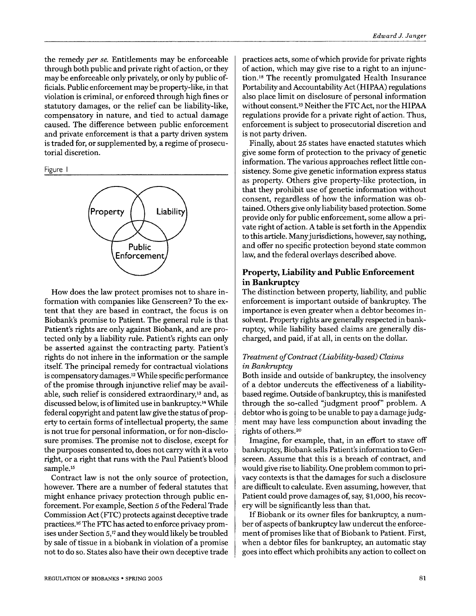the remedy *per se.* Entitlements may be enforceable through both public and private right of action, or they may be enforceable only privately, or only by public officials. Public enforcement may be property-like, in that violation is criminal, or enforced through high fines or statutory damages, or the relief can be liability-like, compensatory in nature, and tied to actual damage caused. The difference between public enforcement and private enforcement is that a party driven system is traded for, or supplemented by, a regime of prosecutorial discretion.





How does the law protect promises not to share information with companies like Genscreen? To the extent that they are based in contract, the focus is on Biobank's promise to Patient. The general rule is that Patient's rights are only against Biobank, and are protected only by a liability rule. Patient's rights can only be asserted against the contracting party. Patient's rights do not inhere in the information or the sample itself. The principal remedy for contractual violations is compensatory damages.12 While specific performance of the promise through injunctive relief may be available, such relief is considered extraordinary,'3 and, as discussed below, is of limited use in bankruptcy.1 4 While federal copyright and patent law give the status of property to certain forms of intellectual property, the same is not true for personal information, or for non-disclosure promises. The promise not to disclose, except for the purposes consented to, does not carry with it a veto right, or a right that runs with the Paul Patient's blood sample.<sup>15</sup>

Contract law is not the only source of protection, however. There are a number of federal statutes that might enhance privacy protection through public enforcement. For example, Section 5 of the Federal Trade Commission Act (FTC) protects against deceptive trade practices. 16 The FTC has acted to enforce privacy promises under Section 5,<sup>17</sup> and they would likely be troubled by sale of tissue in a biobank in violation of a promise not to do so. States also have their own deceptive trade

practices acts, some of which provide for private rights of action, which may give rise to a right to an injunction.Is The recently promulgated Health Insurance Portability and Accountability Act (HIPAA) regulations also place limit on disclosure of personal information without consent.19 Neither the FTC Act, nor the HIPAA regulations provide for a private right of action. Thus, enforcement is subject to prosecutorial discretion and is not party driven.

Finally, about 25 states have enacted statutes which give some form of protection to the privacy of genetic information. The various approaches reflect little consistency. Some give genetic information express status as property. Others give property-like protection, in that they prohibit use of genetic information without consent, regardless of how the information was obtained. Others give only liability based protection. Some provide only for public enforcement, some allow a private right of action. A table is set forth in the Appendix to this article. Manyjurisdictions, however, say nothing, and offer no specific protection beyond state common law, and the federal overlays described above.

#### **Property, Liability and Public Enforcement** in Bankruptcy

The distinction between property, liability, and public enforcement is important outside of bankruptcy. The importance is even greater when a debtor becomes insolvent. Property rights are generally respected in bankruptcy, while liability based claims are generally discharged, and paid, if at all, in cents on the dollar.

#### *Treatment of Contract (Liability-based) Claims in Bankruptcy*

Both inside and outside of bankruptcy, the insolvency of a debtor undercuts the effectiveness of a liabilitybased regime. Outside of bankruptcy, this is manifested through the so-called "judgment proof" problem. A debtor who is going to be unable to pay a damage judgment may have less compunction about invading the rights of others.20

Imagine, for example, that, in an effort to stave off bankruptcy, Biobank sells Patient's information to Genscreen. Assume that this is a breach of contract, and would give rise to liability. One problem common to privacy contexts is that the damages for such a disclosure are difficult to calculate. Even assuming, however, that Patient could prove damages of, say, \$1,000, his recovery will be significantly less than that.

If Biobank or its owner files for bankruptcy, a number of aspects of bankruptcy law undercut the enforcement of promises like that of Biobank to Patient. First, when a debtor files for bankruptcy, an automatic stay goes into effect which prohibits any action to collect on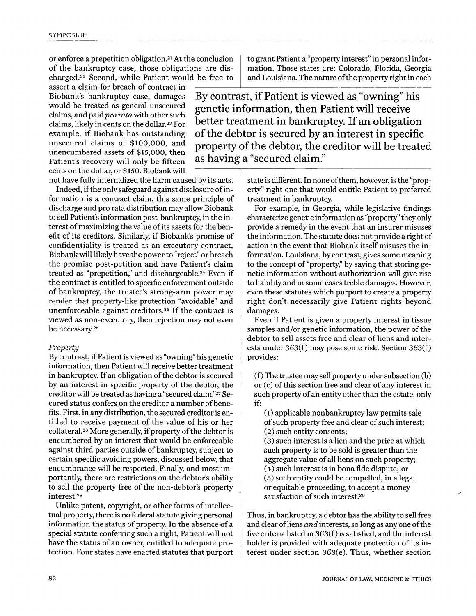of the bankruptcy case, those obligations are dis-<br>charged.<sup>22</sup> Second, while Patient would be free to

assert a claim for breach of contract in Biobank's bankruptcy case, damages would be treated as general unsecured claims, and paid pro *rata* with other such claims, likely in cents on the dollar.<sup>23</sup> For example, if Biobank has outstanding unsecured claims of \$100,000, and unencumbered assets of \$15,000, then Patient's recovery will only be fifteen cents on the dollar, or \$150. Biobank will

not have fully internalized the harm caused by its acts. Indeed, if the only safeguard against disclosure of information is a contract claim, this same principle of discharge and pro rata distribution may allow Biobank to sell Patient's information post-bankruptcy, in the interest of maximizing the value of its assets for the benefit of its creditors. Similarly, if Biobank's promise of confidentiality is treated as an executory contract, Biobank will likely have the power to "reject" or breach the promise post-petition and have Patient's claim treated as "prepetition,' and dischargeable.24 Even if the contract is entitled to specific enforcement outside of bankruptcy, the trustee's strong-arm power may render that property-like protection "avoidable" and unenforceable against creditors.25 If the contract is viewed as non-executory, then rejection may not even be necessary.<sup>26</sup>

#### *Property*

By contrast, if Patient is viewed as "owning" his genetic information, then Patient will receive better treatment in bankruptcy. If an obligation of the debtor is secured by an interest in specific property of the debtor, the creditor will be treated as having a "secured claim."27 Secured status confers on the creditor a number of benefits. First, in any distribution, the secured creditor is entitled to receive payment of the value of his or her collateral.<sup>28</sup> More generally, if property of the debtor is encumbered by an interest that would be enforceable against third parties outside of bankruptcy, subject to certain specific avoiding powers, discussed below, that encumbrance will be respected. Finally, and most importantly, there are restrictions on the debtor's ability to sell the property free of the non-debtor's property interest.29

Unlike patent, copyright, or other forms of intellectual property, there is no federal statute giving personal information the status of property. In the absence of a special statute conferring such a right, Patient will not have the status of an owner, entitled to adequate protection. Four states have enacted statutes that purport

or enforce a prepetition obligation.<sup>21</sup> At the conclusion to grant Patient a "property interest" in personal infor-<br>of the bankruptcy case, those obligations are dis-<br>mation. Those states are: Colorado, Florida, Georgia and Louisiana. The nature of the property right in each

> By contrast, if Patient is viewed as "owning" his genetic information, then Patient will receive better treatment in bankruptcy. If an obligation btor is secured **by** an interest in specific property of the debtor, the creditor will be treated as having a "secured claim."

> > state is different. In none of them, however, is the "property" right one that would entitle Patient to preferred treatment in bankruptcy.

> > For example, in Georgia, while legislative findings characterize genetic information as "property" they only provide a remedy in the event that an insurer misuses the information. The statute does not provide a right of action in the event that Biobank itself misuses the information. Louisiana, by contrast, gives some meaning to the concept of "property," by saying that storing genetic information without authorization will give rise to liability and in some cases treble damages. However, even these statutes which purport to create a property right don't necessarily give Patient rights beyond damages.

> > Even if Patient is given a property interest in tissue samples and/or genetic information, the power of the debtor to sell assets free and clear of liens and interests under 363(f) may pose some risk. Section 363(f) provides:

(f) The trustee may sell property under subsection (b) or (c) of this section free and clear of any interest in such property of an entity other than the estate, only if:

(1) applicable nonbankruptcy law permits sale of such property free and clear of such interest; (2) such entity consents;

(3) such interest is a lien and the price at which such property is to be sold is greater than the aggregate value of all liens on such property; (4) such interest is in bona fide dispute; or (5) such entity could be compelled, in a legal or equitable proceeding, to accept a money satisfaction of such interest.<sup>30</sup>

Thus, in bankruptcy, a debtor has the ability to sell free and clear of liens *and* interests, so long as any one of the five criteria listed in 363(f) is satisfied, and the interest holder is provided with adequate protection of its interest under section 363(e). Thus, whether section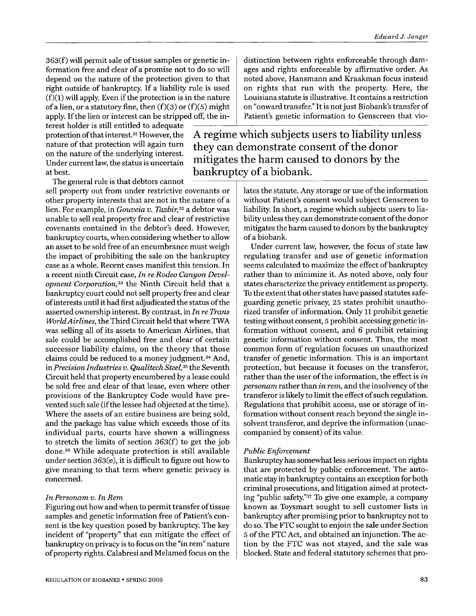363(f) will permit sale of tissue samples or genetic information free and clear of a promise not to do so will depend on the nature of the protection given to that right outside of bankruptcy. If a liability rule is used  $(f)(1)$  will apply. Even if the protection is in the nature of a lien, or a statutory fine, then  $(f)(3)$  or  $(f)(5)$  might apply. If the lien or interest can be stripped off, the in-

terest holder is still entitled to adequate protection of that interest.<sup>31</sup> However, the nature of that protection will again turn<br>on the nature of the underlying interest. Under current law, the status is uncertain at best. bankruptcy of a biobank.

The general rule is that debtors cannot

sell property out from under restrictive covenants or other property interests that are not in the nature of a lien. For example, in *Gouveia v. Tazbir <sup>2</sup>*a debtor was unable to sell real property free and clear of restrictive covenants contained in the debtor's deed. However, bankruptcy courts, when considering whether to allow an asset to be sold free of an encumbrance must weigh the impact of prohibiting the sale on the bankruptcy case as a whole. Recent cases manifest this tension. In a recent ninth Circuit case, *In re Rodeo Canyon Development Corporation,33* the Ninth Circuit held that a bankruptcy court could not sell property free and clear of interests until it had first adjudicated the status of the asserted ownership interest. By contrast, in *In re Trans WorldAirlines,* the Third Circuit held that where TWA was selling all of its assets to American Airlines, that sale could be accomplished free and clear of certain successor liability claims, on the theory that those claims could be reduced to a money judgment.<sup>34</sup> And, in *Precision Industries v. Qualitech Steel,3 5* the Seventh Circuit held that property encumbered by a lease could be sold free and clear of that lease, even where other provisions of the Bankruptcy Code would have prevented such sale (if the lessee had objected at the time). Where the assets of an entire business are being sold, and the package has value which exceeds those of its individual parts, courts have shown a willingness to stretch the limits of section 363(f) to get the job done. 36 While adequate protection is still available under section 363(e), it is difficult to figure out how to give meaning to that term where genetic privacy is concerned.

#### *In Personam v. In Rem*

Figuring out how and when to permit transfer of tissue samples and genetic information free of Patient's consent is the key question posed by bankruptcy. The key incident of "property" that can mitigate the effect of bankruptcy on privacy is to focus on the "in rem" nature of property rights. Calabresi and Melamed focus on the

distinction between rights enforceable through damages and rights enforceable by affirmative order. As noted above, Hansmann and Kraakman focus instead on rights that run with the property. Here, the Louisiana statute is illustrative. It contains a restriction on "onward transfer." It is not just Biobank's transfer of Patient's genetic information to Genscreen that vio-

A regime which subjects users to liability unless they can demonstrate consent of the donor mitigates the harm caused to donors by the

> lates the statute. Any storage or use of the information without Patient's consent would subject Genscreen to liability. In short, a regime which subjects users to liability unless they can demonstrate consent of the donor mitigates the harm caused to donors by the bankruptcy of a biobank.

> Under current law, however, the focus of state law regulating transfer and use of genetic information seems calculated to maximize the effect of bankruptcy rather than to minimize it. As noted above, only four states characterize the privacy entitlement as property. To the extent that other states have passed statutes safeguarding genetic privacy, 25 states prohibit unauthorized transfer of information. Only **11** prohibit genetic testing without consent, 5 prohibit accessing genetic information without consent, and 6 prohibit retaining genetic information without consent. Thus, the most common form of regulation focuses on unauthorized transfer of genetic information. This is an important protection, but because it focuses on the transferor, rather than the user of the information, the effect is *in personam* rather than *in rem,* and the insolvency of the transferor is likely to limit the effect of such regulation. Regulations that prohibit access, use or storage of information without consent reach beyond the single insolvent transferor, and deprive the information (unaccompanied by consent) of its value.

#### *Public Enforcement*

Bankruptcy has somewhat less serious impact on rights that are protected by public enforcement. The automatic stay in bankruptcy contains an exception for both criminal prosecutions, and litigation aimed at protecting "public safety."<sup>37</sup> To give one example, a company known as Toysmart sought to sell customer lists in bankruptcy after promising prior to bankruptcy not to do so. The FTC sought to enjoin the sale under Section 5 of the FTC Act, and obtained an injunction. The action by the FTC was not stayed, and the sale was blocked. State and federal statutory schemes that pro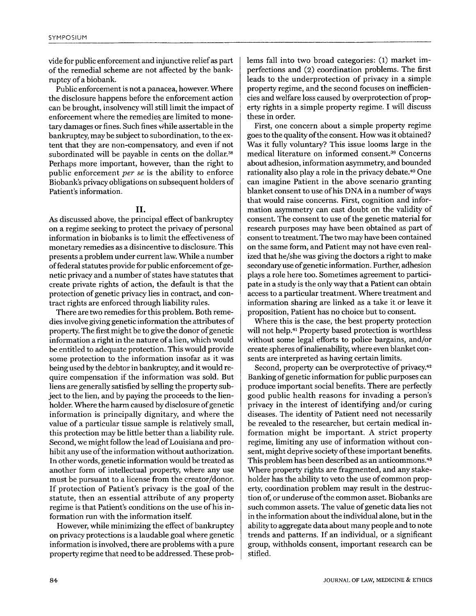vide for public enforcement and injunctive relief as part of the remedial scheme are not affected by the bankruptcy of a biobank.

Public enforcement is not a panacea, however. Where the disclosure happens before the enforcement action can be brought, insolvency will still limit the impact of enforcement where the remedies are limited to monetary damages or fines. Such fines while assertable in the bankruptcy, may be subject to subordination, to the extent that they are non-compensatory, and even if not subordinated will be payable in cents on the dollar.<sup>38</sup> Perhaps more important, however, than the right to public enforcement *per se* is the ability to enforce Biobank's privacy obligations on subsequent holders of Patient's information.

#### **II.**

As discussed above, the principal effect of bankruptcy on a regime seeking to protect the privacy of personal information in biobanks is to limit the effectiveness of monetary remedies as a disincentive to disclosure. This presents a problem under current law. While a number of federal statutes provide for public enforcement of genetic privacy and a number of states have statutes that create private rights of action, the default is that the protection of genetic privacy lies in contract, and contract rights are enforced through liability rules.

There are two remedies for this problem. Both remedies involve giving genetic information the attributes of property. The first might be to give the donor of genetic information a right in the nature of a lien, which would be entitled to adequate protection. This would provide some protection to the information insofar as it was being used by the debtor in bankruptcy, and it would require compensation if the information was sold. But liens are generally satisfied by selling the property subject to the lien, and by paying the proceeds to the lienholder. Where the harm caused by disclosure of genetic information is principally dignitary, and where the value of a particular tissue sample is relatively small, this protection may be little better than a liability rule. Second, we might follow the lead of Louisiana and prohibit any use of the information without authorization. In other words, genetic information would be treated as another form of intellectual property, where any use must be pursuant to a license from the creator/donor. If protection of Patient's privacy is the goal of the statute, then an essential attribute of any property regime is that Patient's conditions on the use of his information run with the information itself.

However, while minimizing the effect of bankruptcy on privacy protections is a laudable goal where genetic information is involved, there are problems with a pure property regime that need to be addressed. These problems fall into two broad categories: **(1)** market imperfections and (2) coordination problems. The first leads to the underprotection of privacy in a simple property regime, and the second focuses on inefficiencies and welfare loss caused by overprotection of property rights in a simple property regime. I will discuss these in order.

First, one concern about a simple property regime goes to the quality of the consent. How was it obtained? Was it fully voluntary? This issue looms large in the medical literature on informed consent.39 Concerns about adhesion, information asymmetry, and bounded rationality also play a role in the privacy debate.40 One can imagine Patient in the above scenario granting blanket consent to use of his DNA in a number of ways that would raise concerns. First, cognition and information asymmetry can cast doubt on the validity of consent. The consent to use of the genetic material for research purposes may have been obtained as part of consent to treatment. The two may have been contained on the same form, and Patient may not have even realized that he/she was giving the doctors a right to make secondary use of genetic information. Further, adhesion plays a role here too. Sometimes agreement to participate in a study is the only way that a Patient can obtain access to a particular treatment. Where treatment and information sharing are linked as a take it or leave it proposition, Patient has no choice but to consent.

Where this is the case, the best property protection will not help.<sup>41</sup> Property based protection is worthless without some legal efforts to police bargains, and/or create spheres of inalienability, where even blanket consents are interpreted as having certain limits.

Second, property can be overprotective of privacy.<sup>42</sup> Banking of genetic information for public purposes can produce important social benefits. There are perfectly good public health reasons for invading a person's privacy in the interest of identifying and/or curing diseases. The identity of Patient need not necessarily be revealed to the researcher, but certain medical information might be important. A strict property regime, limiting any use of information without consent, might deprive society of these important benefits. This problem has been described as an anticommons. <sup>43</sup> Where property rights are fragmented, and any stakeholder has the ability to veto the use of common property, coordination problem may result in the destruction of, or underuse of the common asset. Biobanks are such common assets. The value of genetic data lies not in the information about the individual alone, but in the ability to aggregate data about many people and to note trends and patterns. If an individual, or a significant group, withholds consent, important research can be stifled.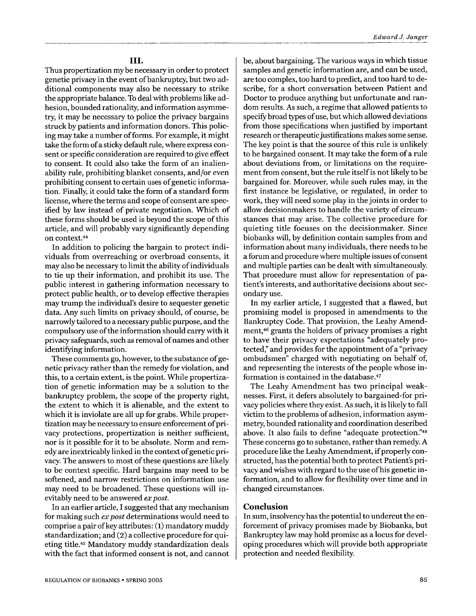#### **III.**

Thus propertization my be necessary in order to protect genetic privacy in the event of bankruptcy, but two additional components may also be necessary to strike the appropriate balance. To deal with problems like adhesion, bounded rationality, and information asymmetry, it may be necessary to police the privacy bargains struck by patients and information donors. This policing may take a number of forms. For example, it might take the form of a sticky default rule, where express consent or specific consideration are required to give effect to consent. It could also take the form of an inalienability rule, prohibiting blanket consents, and/or even prohibiting consent to certain uses of genetic information. Finally, it could take the form of a standard form license, where the terms and scope of consent are specified by law instead of private negotiation. Which of these forms should be used is beyond the scope of this article, and will probably vary significantly depending on context. 44

In addition to policing the bargain to protect individuals from overreaching or overbroad consents, it may also be necessary to limit the ability of individuals to tie up their information, and prohibit its use. The public interest in gathering information necessary to protect public health, or to develop effective therapies may trump the individual's desire to sequester genetic data. Any such limits on privacy should, of course, be narrowly tailored to a necessary public purpose, and the compulsory use of the information should carry with it privacy safeguards, such as removal of names and other identifying information.

These comments go, however, to the substance of genetic privacy rather than the remedy for violation, and this, to a certain extent, is the point. While propertization of genetic information may be a solution to the bankruptcy problem, the scope of the property right, the extent to which it is alienable, and the extent to which it is inviolate are all up for grabs. While propertization may be necessary to ensure enforcement of privacy protections, propertization is neither sufficient, nor is it possible for it to be absolute. Norm and remedy are inextricably linked in the context of genetic privacy. The answers to most of these questions are likely to be context specific. Hard bargains may need to be softened, and narrow restrictions on information use may need to be broadened. These questions will inevitably need to be answered *expost.*

In an earlier article, I suggested that any mechanism for making such *ex post* determinations would need to comprise a pair of key attributes: **(1)** mandatory muddy standardization; and (2) a collective procedure for quieting title.45 Mandatory muddy standardization deals with the fact that informed consent is not, and cannot be, about bargaining. The various ways in which tissue samples and genetic information are, and can be used, are too complex, too hard to predict, and too hard to describe, for a short conversation between Patient and Doctor to produce anything but unfortunate and random results. As such, a regime that allowed patients to specify broad types of use, but which allowed deviations from those specifications when justified by important research or therapeutic justifications makes some sense. The key point is that the source of this rule is unlikely to be bargained consent. It may take the form of a rule about deviations from, or limitations on the requirement from consent, but the rule itself is not likely to be bargained for. Moreover, while such rules may, in the first instance be legislative, or regulated, in order to work, they will need some play in the joints in order to allow decisionmakers to handle the variety of circumstances that may arise. The collective procedure for quieting title focuses on the decisionmaker. Since biobanks will, by definition contain samples from and information about many individuals, there needs to be a forum and procedure where multiple issues of consent and multiple parties can be dealt with simultaneously. That procedure must allow for representation of patient's interests, and authoritative decisions about secondary use.

In my earlier article, I suggested that a flawed, but promising model is proposed in amendments to the Bankruptcy Code. That provision, the Leahy Amendment,46 grants the holders of privacy promises a right to have their privacy expectations "adequately protected," and provides for the appointment of a "privacy ombudsmen" charged with negotiating on behalf of, and representing the interests of the people whose information is contained in the database.<sup>47</sup>

The Leahy Amendment has two principal weaknesses. First, it defers absolutely to bargained-for privacy policies where they exist. As such, it is likely to fall victim to the problems of adhesion, information asymmetry, bounded rationality and coordination described above. It also fails to define "adequate protection."<sup>48</sup> These concerns go to substance, rather than remedy. A procedure like the Leahy Amendment, if properly constructed, has the potential both to protect Patient's privacy and wishes with regard to the use of his genetic information, and to allow for flexibility over time and in changed circumstances.

#### **Conclusion**

In sum, insolvency has the potential to undercut the enforcement of privacy promises made by Biobanks, but Bankruptcy law may hold promise as a locus for developing procedures which will provide both appropriate protection and needed flexibility.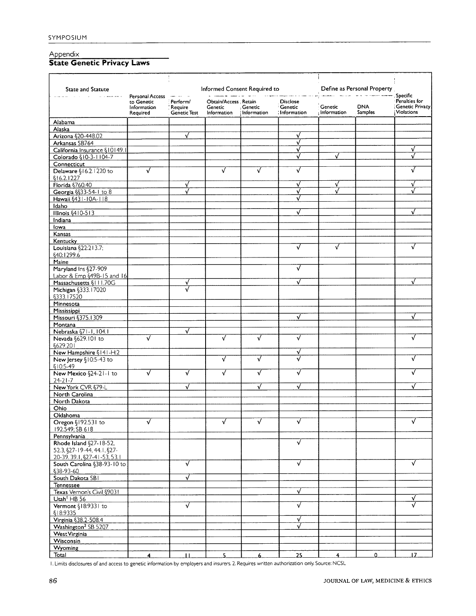#### Appendix

#### **State Genetic Privacy Laws**

| <b>State and Statute</b>                              |                                                          | Informed Consent Required to                                                                    |                                                                          |                        |                                           | Define as Personal Property<br>كمصط ومصادفا والمراقب المتلقين المتهب |                              |                                                                       |
|-------------------------------------------------------|----------------------------------------------------------|-------------------------------------------------------------------------------------------------|--------------------------------------------------------------------------|------------------------|-------------------------------------------|----------------------------------------------------------------------|------------------------------|-----------------------------------------------------------------------|
| $\sim$ 10 $\mu$ and $\mu$ and $\mu$                   | Personal Access<br>to Genetic<br>Information<br>Required | $\frac{1}{2}$ and $\frac{1}{2}$ and $\frac{1}{2}$<br>Perform/<br>Require<br><b>Genetic Test</b> | والمساريد المستندرات<br>Obtain/Access : Retain<br>Genetic<br>Information | Genetic<br>Information | <b>Disclose</b><br>Genetic<br>Information | Genetic<br>Information                                               | <b>DNA</b><br><b>Samples</b> | Specific<br>Penalties for<br>  Genetic Privacy  <br><b>Violations</b> |
| Alabama                                               |                                                          |                                                                                                 |                                                                          |                        |                                           |                                                                      |                              |                                                                       |
| Alaska                                                |                                                          | $\sqrt{}$                                                                                       |                                                                          |                        |                                           |                                                                      |                              |                                                                       |
| Arizona §20-448.02<br>Arkansas SB764                  |                                                          |                                                                                                 |                                                                          |                        | V<br>$\sqrt{ }$                           |                                                                      |                              |                                                                       |
| California Insurance §10149.1                         |                                                          |                                                                                                 |                                                                          |                        | ٧                                         |                                                                      |                              | $\sqrt{ }$                                                            |
| Colorado § 10-3-1104-7                                |                                                          |                                                                                                 |                                                                          |                        | V                                         | v                                                                    |                              | √                                                                     |
| Connecticut                                           |                                                          |                                                                                                 |                                                                          |                        |                                           |                                                                      |                              |                                                                       |
| Delaware §16.2.1220 to                                | $\sqrt{}$                                                |                                                                                                 | $\sqrt{}$                                                                | √                      | $\sqrt{ }$                                |                                                                      |                              | √                                                                     |
| \$16.2.1227                                           |                                                          |                                                                                                 |                                                                          |                        |                                           |                                                                      |                              |                                                                       |
| Florida §760.40<br>Georgia §§33-54-1 to 8             |                                                          | v                                                                                               |                                                                          |                        | ٧<br>٧                                    | $\sqrt{}$<br>√                                                       |                              |                                                                       |
| Hawaii §431-10A-118                                   |                                                          |                                                                                                 |                                                                          |                        | $\mathbf v$                               |                                                                      |                              |                                                                       |
| Idaho                                                 |                                                          |                                                                                                 |                                                                          |                        |                                           |                                                                      |                              |                                                                       |
| Illinois §410-513                                     |                                                          |                                                                                                 |                                                                          |                        | V                                         |                                                                      |                              | √                                                                     |
| Indiana                                               |                                                          |                                                                                                 |                                                                          |                        |                                           |                                                                      |                              |                                                                       |
| lowa                                                  |                                                          |                                                                                                 |                                                                          |                        |                                           |                                                                      |                              |                                                                       |
| Kansas                                                |                                                          |                                                                                                 |                                                                          |                        |                                           |                                                                      |                              |                                                                       |
| Kentucky<br>Louisiana §22:213.7;                      |                                                          |                                                                                                 |                                                                          |                        | $\sqrt{ }$                                | $\sqrt{ }$                                                           |                              | √                                                                     |
| §40:1299.6                                            |                                                          |                                                                                                 |                                                                          |                        |                                           |                                                                      |                              |                                                                       |
| Maine                                                 |                                                          |                                                                                                 |                                                                          |                        |                                           |                                                                      |                              |                                                                       |
| Maryland Ins §27-909                                  |                                                          |                                                                                                 |                                                                          |                        | V                                         |                                                                      |                              |                                                                       |
| Labor & Emp §49B-15 and 16                            |                                                          |                                                                                                 |                                                                          |                        |                                           |                                                                      |                              |                                                                       |
| Massachusetts §111.70G                                |                                                          | V                                                                                               |                                                                          |                        | V                                         |                                                                      |                              | $\sqrt{ }$                                                            |
| Michigan §333.17020<br>\$333.17520                    |                                                          | $\sqrt{}$                                                                                       |                                                                          |                        |                                           |                                                                      |                              |                                                                       |
| Minnesota                                             |                                                          |                                                                                                 |                                                                          |                        |                                           |                                                                      |                              |                                                                       |
| Mississippi                                           |                                                          |                                                                                                 |                                                                          |                        |                                           |                                                                      |                              |                                                                       |
| Missouri §375.1309                                    |                                                          |                                                                                                 |                                                                          |                        | $\sqrt{ }$                                |                                                                      |                              | √                                                                     |
| Montana                                               |                                                          |                                                                                                 |                                                                          |                        |                                           |                                                                      |                              |                                                                       |
| Nebraska §71-1, 104.1                                 |                                                          |                                                                                                 |                                                                          |                        |                                           |                                                                      |                              |                                                                       |
| Nevada §629.101 to                                    | V                                                        |                                                                                                 | V                                                                        | $\sqrt{ }$             | $\sqrt{}$                                 |                                                                      |                              |                                                                       |
| \$629.201<br>New Hampshire §141-H:2                   |                                                          |                                                                                                 |                                                                          |                        | ٧                                         |                                                                      |                              |                                                                       |
| New Jersey §10:5-43 to                                |                                                          |                                                                                                 | $\sqrt{}$                                                                | $\sqrt{ }$             |                                           |                                                                      |                              | √                                                                     |
| $$10:5-49$                                            |                                                          |                                                                                                 |                                                                          |                        |                                           |                                                                      |                              |                                                                       |
| New Mexico §24-21-1 to                                | √                                                        | $\sqrt{ }$                                                                                      | $\checkmark$                                                             | $\sqrt{ }$             | $\sqrt{}$                                 |                                                                      |                              |                                                                       |
| $24 - 21 - 7$                                         |                                                          |                                                                                                 |                                                                          |                        |                                           |                                                                      |                              |                                                                       |
| New York CVR §79-L                                    |                                                          | $\sqrt{ }$                                                                                      |                                                                          | $\sqrt{ }$             | $\sqrt{ }$                                |                                                                      |                              |                                                                       |
| North Carolina<br>North Dakota                        |                                                          |                                                                                                 |                                                                          |                        |                                           |                                                                      |                              |                                                                       |
| Ohio                                                  |                                                          |                                                                                                 |                                                                          |                        |                                           |                                                                      |                              |                                                                       |
| Oklahoma                                              |                                                          |                                                                                                 |                                                                          |                        |                                           |                                                                      |                              |                                                                       |
| Oregon § 192.531 to                                   | $\sqrt{ }$                                               |                                                                                                 | ν                                                                        | $\sqrt{ }$             | v                                         |                                                                      |                              | √                                                                     |
| 192.549; SB 618                                       |                                                          |                                                                                                 |                                                                          |                        |                                           |                                                                      |                              |                                                                       |
| Pennsylvania<br>Rhode Island §27-18-52,               |                                                          |                                                                                                 |                                                                          |                        | $\overline{\sqrt{} }$                     |                                                                      |                              |                                                                       |
| 52.3, §27-19-44, 44.1, §27-                           |                                                          |                                                                                                 |                                                                          |                        |                                           |                                                                      |                              |                                                                       |
| 20-39. 39. 1, §27-41-53, 53. 1                        |                                                          |                                                                                                 |                                                                          |                        |                                           |                                                                      |                              |                                                                       |
| South Carolina §38-93-10 to                           |                                                          | $\sqrt{ }$                                                                                      |                                                                          |                        | $\sqrt{}$                                 |                                                                      |                              | v.                                                                    |
| \$38-93-60                                            |                                                          |                                                                                                 |                                                                          |                        |                                           |                                                                      |                              |                                                                       |
| South Dakota SBI                                      |                                                          | $\sqrt{ }$                                                                                      |                                                                          |                        |                                           |                                                                      |                              |                                                                       |
| Tennessee                                             |                                                          |                                                                                                 |                                                                          |                        |                                           |                                                                      |                              |                                                                       |
| Texas Vernon's Civil §9031<br>Utah <sup>1</sup> HB 56 |                                                          |                                                                                                 |                                                                          |                        | $\sqrt{ }$                                |                                                                      |                              |                                                                       |
| Vermont §18:9331 to                                   |                                                          | $\sqrt{ }$                                                                                      |                                                                          |                        | $\overline{\sqrt{} }$                     |                                                                      |                              |                                                                       |
| \$18:9335                                             |                                                          |                                                                                                 |                                                                          |                        |                                           |                                                                      |                              |                                                                       |
| Virginia §38.2-508.4                                  |                                                          |                                                                                                 |                                                                          |                        | $\sqrt{ }$                                |                                                                      |                              |                                                                       |
| Washington <sup>2</sup> SB 5207                       |                                                          |                                                                                                 |                                                                          |                        | $\sqrt{}$                                 |                                                                      |                              |                                                                       |
| <b>West Virginia</b>                                  |                                                          |                                                                                                 |                                                                          |                        |                                           |                                                                      |                              |                                                                       |
| <b>Wisconsin</b>                                      |                                                          |                                                                                                 |                                                                          |                        |                                           |                                                                      |                              |                                                                       |
| Wyoming<br>Total                                      | 4                                                        |                                                                                                 | 5                                                                        | 6                      | 25                                        | $\overline{\mathbf{4}}$                                              | $\mathbf{0}$                 | 17.                                                                   |
|                                                       |                                                          |                                                                                                 |                                                                          |                        |                                           |                                                                      |                              |                                                                       |

**I,** Limits disclosures of and access to genetic information by employers and insurers. 2. Requires written authorization only Source: NCSL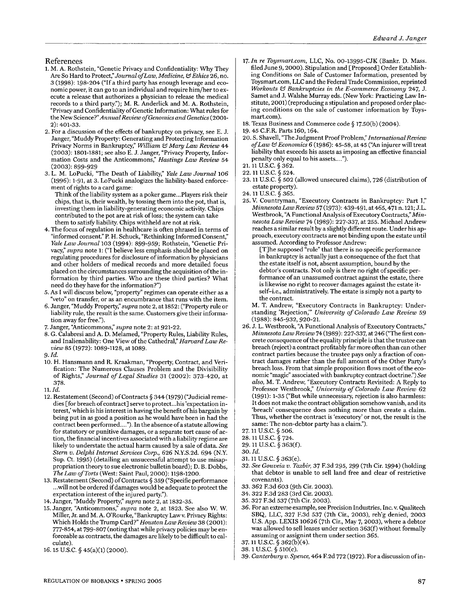#### References

- 1. M. A. Rothstein, "Genetic Privacy and Confidentiality: Why They Are So Hard to Protect,"Journal *ofLaw, Medicine, & Ethics* 26, no. 3 (1998): 198-204 ("If a third party has enough leverage and economic power, it can go to an individual and require him/her to execute a release that authorizes a physician to release the medical records to a third party."); M. R. Anderlick and M. A. Rothstein, "Privacy and Confidentiality of Genetic Information: What rules for the New *Science?"Annual Review of Genomics and Genetics* (2001- 2): 401-33.
- 2. For a discussion of the effects of bankruptcy on privacy, see **E.** J. Janger, "Muddy Property: Generating and Protecting Information Privacy Norms in Bankruptcy," *William & Mary Law Review* 44 (2003): 1801-1881; see also E. J. Janger, "Privacy Property, Information Costs and the Anticommons," *Hastings Law Review 54* (2003): 899-929
- 3. L. M. LoPucki, "The Death of Liability," *Yale Law Journal 106 (1996):* 1-91, at 3. LoPucki analogizes the liability-based enforcement of rights to a card game:

Think of the liability system as a poker game...Players risk their chips, that is, their wealth, by tossing them into the pot, that is, investing them in liability-generating economic activity. Chips contributed to the pot are at risk of loss; the system can take them to satisfy liability. Chips withheld are not at risk.

- 4. The focus of regulation in healthcare is often phrased in terms of "informed consent." P. H. Schuck, "Rethinking Informed Consent;' *Yale Law Journal* 103 (1994): 899-959; Rothstein, "Genetic Privacy," *supra* note 1: ("I believe less emphasis should be placed on regulating procedures for disclosure of information by physicians and other holders of medical records and more detailed focus placed on the circumstances surrounding the acquisition of the information by third parties. Who are these third parties? What need **do** they have for the information?")
- 5. As I will discuss below, "property" regimes can operate either as a 'veto" on transfer, or as an encumbrance that runs with the item.
- 6. Janger, "Muddy Property," *supra* note 2, at 1852: ("Property rule or liability rule, the result is the same. Customers give their information away for free.").
- 7. Janger, "Anticommons," *supra* note 2: at 921-22.
- 8. G. Calabresi and A. D. Melamed, "Property Rules, Liability Rules, and Inalienability: One View of the Cathedral;' *Harvard Law Review* 85 (1972): 1089-1128, at 1089.
- *9. Id.*
- **10.** H. Hansmann and R. Kraakman, "Property, Contract, and Verification: The Numerous Clauses Problem and the Divisibility of Rights," *Journal of Legal Studies* 31 (2002): 373-420, at 378.
- *11. Id.*
- 12. Restatement (Second) of Contracts § 344 (1979) ("Judicial remedies [for breach of contract] serve to protect.. .his 'expectation interest,' which is his interest in having the benefit of his bargain by being put in as good a position as he would have been in had the contract been performed...."). In the absence of a statute allowing for statutory or punitive damages, or a separate tort cause of action, the financial incentives associated with a liability regime are likely to understate the actual harm caused by a sale of data. *See Stern v. Delphi Internet Services Corp.,* 626 N.Y.S.2d. 694 (N.Y. Sup. Ct. 1995) (detailing an unsuccessful attempt to use misappropriation theory to sue electronic bulletin board); D. B. Dobbs, *The Law of Torts* (West: Saint Paul, 2000): 1198-1200.
- 13. Restatement (Second) of Contracts § 359 ("Specific performance **...will** not be ordered if damages would be adequate to protect the expectation interest of the injured party.").
- 14. Janger, "Muddy Property," *supra* note 2, at 1832-35.
- 15. Janger, 'Anticommons," *supra* note 2, at 1823. See also W. W. Miller, Jr. and M. A. O'Rourke, "Bankruptcy Law v. Privacy Rights: Which Holds the Trump Card?" *Houston Law Review* 38 (2001): 777-854, at 799-807 (noting that while privacy policies may be enforceable as contracts, the damages are likely to be difficult to calculate).
- 16.15 U.S.C. § 45(a)(1) (2000).
- 17. *In re Toysmart.com,* LLC, No. 00-13995-CJK (Bankr. D. Mass. filed June 9, 2000). Stipulation and [Proposed] Order Establishing Conditions on Sale of Customer Information, presented by Toysmart.com, LLC and the Federal Trade Commission, reprinted *Workouts & Bankruptcies in the E-commerce Economy* 247, J. Samet and J. Walshe Murray eds. (New York: Practicing Law Institute, 2001) (reproducing a stipulation and proposed order placing conditions on the sale of customer information by Toysmart.com).
- 18. Texas Business and Commerce code § 17.50(b) (2004).
- 19. 45 C.F.R. Parts 160, 164.
- 20. S. Shavell, "The Judgment Proof Problem," *InternationalReview ofLaw & Economics* 6 (1986): 45-58, at *45* ("An injurer will treat liability that exceeds his assets as imposing an effective financial penalty only equal to his **assets.....**
- 21. 11 U.S.C. § 362.
- 22. 11 U.S.C. § 524.
- 23. 11 U.S.C. § 502 (allowed unsecured claims), 726 (distribution of estate property).
- 24. 11 U.S.C. § *365.*
- 25. V. Countryman, "Executory Contracts in Bankruptcy: Part I," *Minnesota Law Review* 57(1973): 439-491, at 465,471 n. 121; J.L. Westbrook, "A Functional Analysis of Executory Contracts," Min*nesota Law Review* 74 (1989): 227-337, at 255. Michael Andrew reaches a similar result by a slightly different route. Under his approach, executory contracts are not binding upon the estate until assumed. According to Professor Andrew:

[T]he supposed "rule" that there is no specific performance in bankruptcy is actually just a consequence of the fact that the estate itself is not, absent assumption, bound by the debtor's contracts. Not only is there no right of specific performance of an unassumed contract against the estate, there is likewise no right to recover damages against the estate itself-i.e., administratively. The estate is simply not a party to the contract.

M. T. Andrew, "Executory Contracts in Bankruptcy: Understanding 'Rejection," *University of Colorado Law Review 59* (1988): 845-932, 920-21.

- 26. J. L. Westbrook, **"A** Functional Analysis of Executory Contracts," *Minnesota Law Review* 74 (1989): 227-337, at *246* ("The first concrete consequence of the equality principle is that the trustee can breach (reject) a contract profitably far more often than can other contract parties because the trustee pays only a fraction of contract damages rather than the full amount of the Other Party's breach loss. From that simple proposition flows most of the economic "magic" associated with bankruptcy contract doctrine') *See also,* M. T. Andrew, "Executory Contracts Revisited: A Reply to Professor Westbrook," *University of Colorado Law Review 62* (1991): 1-35 ("But while unnecessary, rejection is also harmless: It does not make the contract obligation somehow vanish, and its 'breach' consequence does nothing more than create a claim. Thus, whether the contract is 'executory' or not, the result is the same: The non-debtor party has a claim.").
- 27. **11** U.S.C. § 506.
- 28. 11 U.S.C. § 724.
- 29. 11 U.S.C. § 363(f).
- *30. Id.*
- 31. 11 U.S.C. § 363(e).
- 32. *See Gouveia v. Tazbir,* 37 F.3d 295, 299 (7th Cir. 1994) (holding that debtor is unable to sell land free and clear of restrictive covenants).
- 33. 362 F.3d 603 (9th Cir. 2003).
- 34. 322 F.3d 283 (3rd Cir. 2003).
- 35. 327 F.3d 537 (7th Cir. 2003).
- 36. For an extreme example, see Precision Industries, Inc. v. Qualitech SBQ, LLC, 327 F.3d 537 (7th Cir., 2003), reh'g denied, 2003 U.S. App. LEXIS 10626 (7th Cir., May 7, 2003), where a debtor was allowed to sell leases under section 363(f) without formally assuming or assignint them under section 365.

- 38. 1 U.S.C. § **510(c).**
- *39. Canterbury v. Spence,* 464 F.2d 772 (1972). For a discussion of in-

<sup>37. 11</sup> U.S.C. § 362(b)(4).